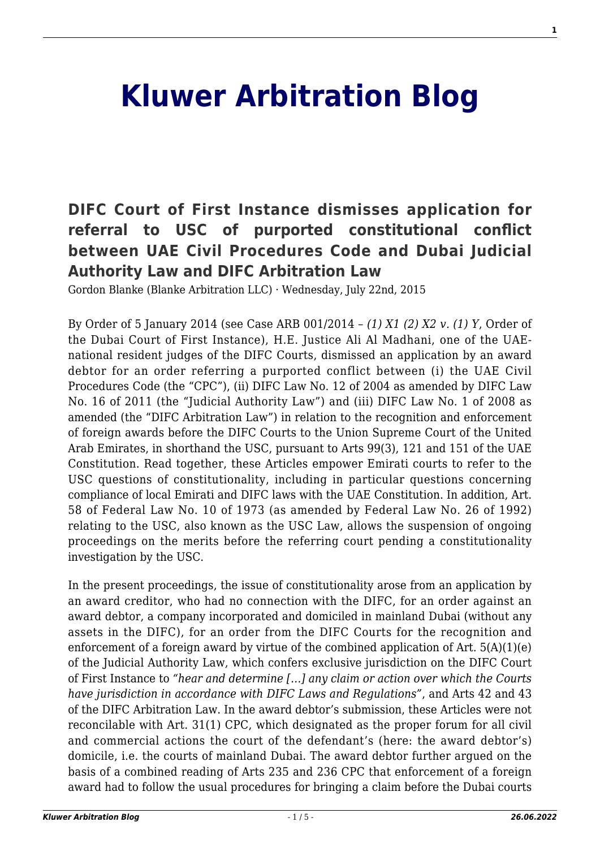## **[Kluwer Arbitration Blog](http://arbitrationblog.kluwerarbitration.com/)**

## **[DIFC Court of First Instance dismisses application for](http://arbitrationblog.kluwerarbitration.com/2015/07/22/difc-court-of-first-instance-dismisses-application-for-referral-to-usc-of-purported-constitutional-conflict-between-uae-civil-procedures-code-and-dubai-judicial-authority-law-and-difc-arbitration-law/) [referral to USC of purported constitutional conflict](http://arbitrationblog.kluwerarbitration.com/2015/07/22/difc-court-of-first-instance-dismisses-application-for-referral-to-usc-of-purported-constitutional-conflict-between-uae-civil-procedures-code-and-dubai-judicial-authority-law-and-difc-arbitration-law/) [between UAE Civil Procedures Code and Dubai Judicial](http://arbitrationblog.kluwerarbitration.com/2015/07/22/difc-court-of-first-instance-dismisses-application-for-referral-to-usc-of-purported-constitutional-conflict-between-uae-civil-procedures-code-and-dubai-judicial-authority-law-and-difc-arbitration-law/) [Authority Law and DIFC Arbitration Law](http://arbitrationblog.kluwerarbitration.com/2015/07/22/difc-court-of-first-instance-dismisses-application-for-referral-to-usc-of-purported-constitutional-conflict-between-uae-civil-procedures-code-and-dubai-judicial-authority-law-and-difc-arbitration-law/)**

Gordon Blanke (Blanke Arbitration LLC) · Wednesday, July 22nd, 2015

By Order of 5 January 2014 (see Case ARB 001/2014 – *(1) X1 (2) X2 v. (1) Y*, Order of the Dubai Court of First Instance), H.E. Justice Ali Al Madhani, one of the UAEnational resident judges of the DIFC Courts, dismissed an application by an award debtor for an order referring a purported conflict between (i) the UAE Civil Procedures Code (the "CPC"), (ii) DIFC Law No. 12 of 2004 as amended by DIFC Law No. 16 of 2011 (the "Judicial Authority Law") and (iii) DIFC Law No. 1 of 2008 as amended (the "DIFC Arbitration Law") in relation to the recognition and enforcement of foreign awards before the DIFC Courts to the Union Supreme Court of the United Arab Emirates, in shorthand the USC, pursuant to Arts 99(3), 121 and 151 of the UAE Constitution. Read together, these Articles empower Emirati courts to refer to the USC questions of constitutionality, including in particular questions concerning compliance of local Emirati and DIFC laws with the UAE Constitution. In addition, Art. 58 of Federal Law No. 10 of 1973 (as amended by Federal Law No. 26 of 1992) relating to the USC, also known as the USC Law, allows the suspension of ongoing proceedings on the merits before the referring court pending a constitutionality investigation by the USC.

In the present proceedings, the issue of constitutionality arose from an application by an award creditor, who had no connection with the DIFC, for an order against an award debtor, a company incorporated and domiciled in mainland Dubai (without any assets in the DIFC), for an order from the DIFC Courts for the recognition and enforcement of a foreign award by virtue of the combined application of Art.  $5(A)(1)(e)$ of the Judicial Authority Law, which confers exclusive jurisdiction on the DIFC Court of First Instance to *"hear and determine […] any claim or action over which the Courts have jurisdiction in accordance with DIFC Laws and Regulations"*, and Arts 42 and 43 of the DIFC Arbitration Law. In the award debtor's submission, these Articles were not reconcilable with Art. 31(1) CPC, which designated as the proper forum for all civil and commercial actions the court of the defendant's (here: the award debtor's) domicile, i.e. the courts of mainland Dubai. The award debtor further argued on the basis of a combined reading of Arts 235 and 236 CPC that enforcement of a foreign award had to follow the usual procedures for bringing a claim before the Dubai courts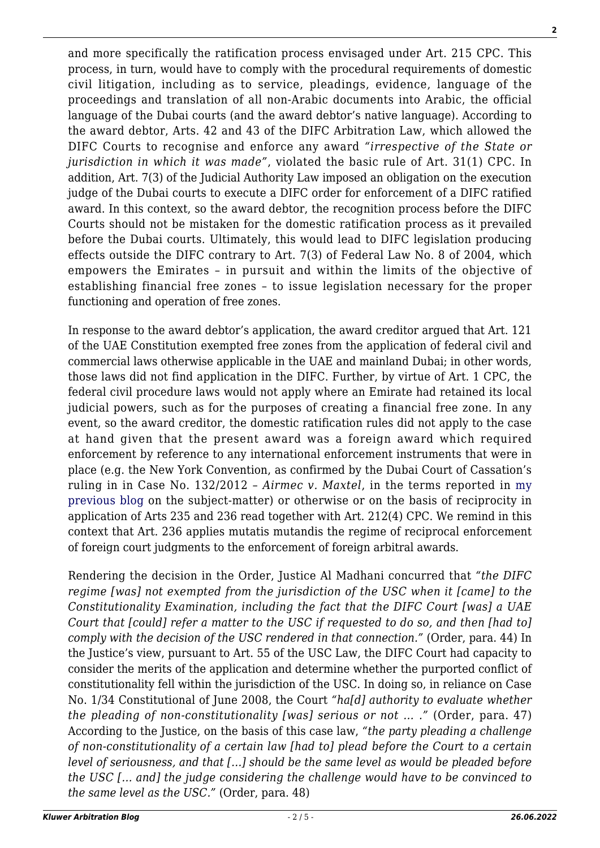and more specifically the ratification process envisaged under Art. 215 CPC. This process, in turn, would have to comply with the procedural requirements of domestic civil litigation, including as to service, pleadings, evidence, language of the proceedings and translation of all non-Arabic documents into Arabic, the official language of the Dubai courts (and the award debtor's native language). According to the award debtor, Arts. 42 and 43 of the DIFC Arbitration Law, which allowed the DIFC Courts to recognise and enforce any award *"irrespective of the State or jurisdiction in which it was made"*, violated the basic rule of Art. 31(1) CPC. In addition, Art. 7(3) of the Judicial Authority Law imposed an obligation on the execution judge of the Dubai courts to execute a DIFC order for enforcement of a DIFC ratified award. In this context, so the award debtor, the recognition process before the DIFC Courts should not be mistaken for the domestic ratification process as it prevailed before the Dubai courts. Ultimately, this would lead to DIFC legislation producing effects outside the DIFC contrary to Art. 7(3) of Federal Law No. 8 of 2004, which empowers the Emirates – in pursuit and within the limits of the objective of establishing financial free zones – to issue legislation necessary for the proper functioning and operation of free zones.

In response to the award debtor's application, the award creditor argued that Art. 121 of the UAE Constitution exempted free zones from the application of federal civil and commercial laws otherwise applicable in the UAE and mainland Dubai; in other words, those laws did not find application in the DIFC. Further, by virtue of Art. 1 CPC, the federal civil procedure laws would not apply where an Emirate had retained its local judicial powers, such as for the purposes of creating a financial free zone. In any event, so the award creditor, the domestic ratification rules did not apply to the case at hand given that the present award was a foreign award which required enforcement by reference to any international enforcement instruments that were in place (e.g. the New York Convention, as confirmed by the Dubai Court of Cassation's ruling in in Case No. 132/2012 – *Airmec v. Maxtel*, in the terms reported in [my](http://kluwerarbitrationblog.com/blog/2012/11/21/dubai-court-of-cassation-confirms-enforcement-of-foreign-awards-under-new-york-convention-the-end-of-a-beginning-inshallah/) [previous blog](http://kluwerarbitrationblog.com/blog/2012/11/21/dubai-court-of-cassation-confirms-enforcement-of-foreign-awards-under-new-york-convention-the-end-of-a-beginning-inshallah/) on the subject-matter) or otherwise or on the basis of reciprocity in application of Arts 235 and 236 read together with Art. 212(4) CPC. We remind in this context that Art. 236 applies mutatis mutandis the regime of reciprocal enforcement of foreign court judgments to the enforcement of foreign arbitral awards.

Rendering the decision in the Order, Justice Al Madhani concurred that *"the DIFC regime [was] not exempted from the jurisdiction of the USC when it [came] to the Constitutionality Examination, including the fact that the DIFC Court [was] a UAE Court that [could] refer a matter to the USC if requested to do so, and then [had to] comply with the decision of the USC rendered in that connection."* (Order, para. 44) In the Justice's view, pursuant to Art. 55 of the USC Law, the DIFC Court had capacity to consider the merits of the application and determine whether the purported conflict of constitutionality fell within the jurisdiction of the USC. In doing so, in reliance on Case No. 1/34 Constitutional of June 2008, the Court *"ha[d] authority to evaluate whether the pleading of non-constitutionality [was] serious or not … ."* (Order, para. 47) According to the Justice, on the basis of this case law, *"the party pleading a challenge of non-constitutionality of a certain law [had to] plead before the Court to a certain level of seriousness, and that […] should be the same level as would be pleaded before the USC [… and] the judge considering the challenge would have to be convinced to the same level as the USC."* (Order, para. 48)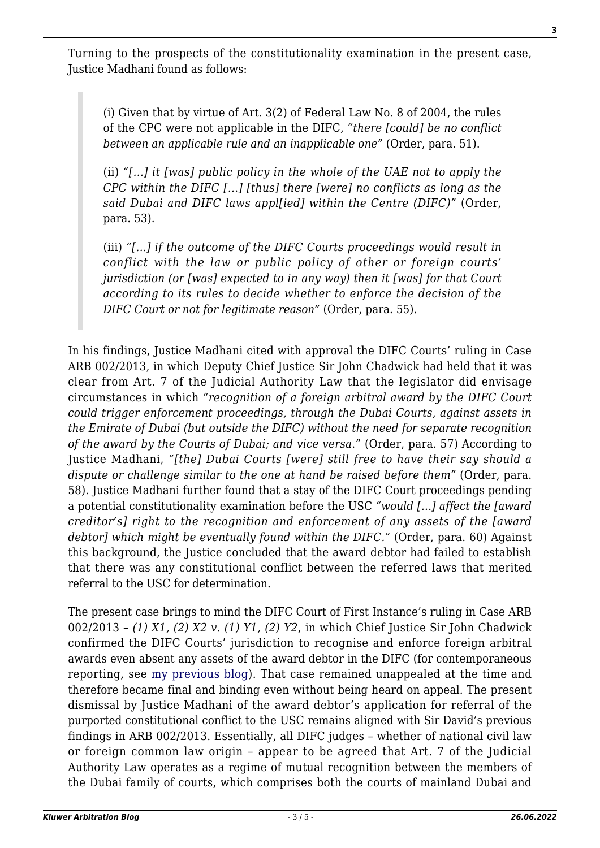Turning to the prospects of the constitutionality examination in the present case, Justice Madhani found as follows:

(i) Given that by virtue of Art. 3(2) of Federal Law No. 8 of 2004, the rules of the CPC were not applicable in the DIFC, *"there [could] be no conflict between an applicable rule and an inapplicable one"* (Order, para. 51).

(ii) *"[…] it [was] public policy in the whole of the UAE not to apply the CPC within the DIFC […] [thus] there [were] no conflicts as long as the said Dubai and DIFC laws appl[ied] within the Centre (DIFC)"* (Order, para. 53).

(iii) *"[…] if the outcome of the DIFC Courts proceedings would result in conflict with the law or public policy of other or foreign courts' jurisdiction (or [was] expected to in any way) then it [was] for that Court according to its rules to decide whether to enforce the decision of the DIFC Court or not for legitimate reason"* (Order, para. 55).

In his findings, Justice Madhani cited with approval the DIFC Courts' ruling in Case ARB 002/2013, in which Deputy Chief Justice Sir John Chadwick had held that it was clear from Art. 7 of the Judicial Authority Law that the legislator did envisage circumstances in which *"recognition of a foreign arbitral award by the DIFC Court could trigger enforcement proceedings, through the Dubai Courts, against assets in the Emirate of Dubai (but outside the DIFC) without the need for separate recognition of the award by the Courts of Dubai; and vice versa."* (Order, para. 57) According to Justice Madhani, *"[the] Dubai Courts [were] still free to have their say should a dispute or challenge similar to the one at hand be raised before them"* (Order, para. 58). Justice Madhani further found that a stay of the DIFC Court proceedings pending a potential constitutionality examination before the USC *"would […] affect the [award creditor's] right to the recognition and enforcement of any assets of the [award debtor] which might be eventually found within the DIFC."* (Order, para. 60) Against this background, the Justice concluded that the award debtor had failed to establish that there was any constitutional conflict between the referred laws that merited referral to the USC for determination.

The present case brings to mind the DIFC Court of First Instance's ruling in Case ARB 002/2013 – *(1) X1, (2) X2 v. (1) Y1, (2) Y2*, in which Chief Justice Sir John Chadwick confirmed the DIFC Courts' jurisdiction to recognise and enforce foreign arbitral awards even absent any assets of the award debtor in the DIFC (for contemporaneous reporting, see [my previous blog](http://kluwerarbitrationblog.com/blog/2015/07/19/arb-0032013-the-difc-court-of-first-instances-sequel-in-banyan-v-meydan/)). That case remained unappealed at the time and therefore became final and binding even without being heard on appeal. The present dismissal by Justice Madhani of the award debtor's application for referral of the purported constitutional conflict to the USC remains aligned with Sir David's previous findings in ARB 002/2013. Essentially, all DIFC judges – whether of national civil law or foreign common law origin – appear to be agreed that Art. 7 of the Judicial Authority Law operates as a regime of mutual recognition between the members of the Dubai family of courts, which comprises both the courts of mainland Dubai and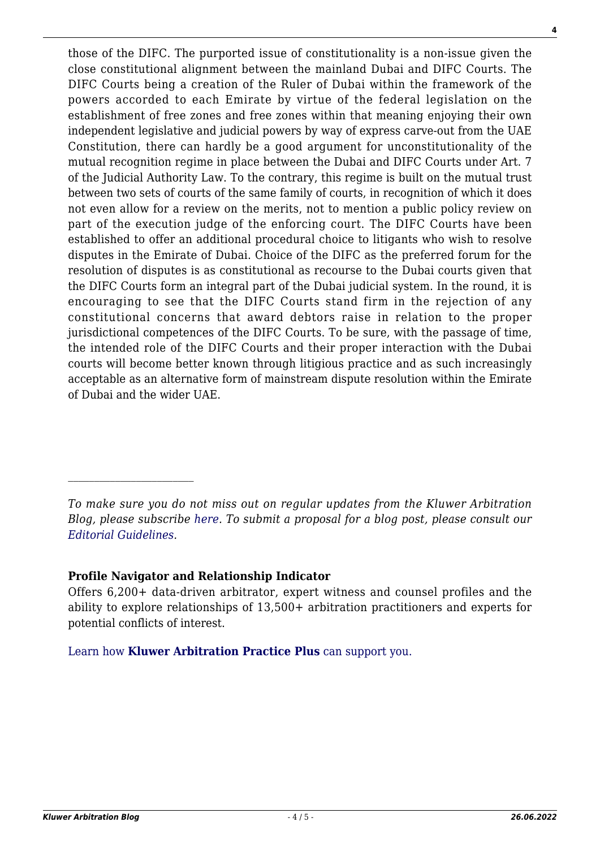those of the DIFC. The purported issue of constitutionality is a non-issue given the close constitutional alignment between the mainland Dubai and DIFC Courts. The DIFC Courts being a creation of the Ruler of Dubai within the framework of the powers accorded to each Emirate by virtue of the federal legislation on the establishment of free zones and free zones within that meaning enjoying their own independent legislative and judicial powers by way of express carve-out from the UAE Constitution, there can hardly be a good argument for unconstitutionality of the mutual recognition regime in place between the Dubai and DIFC Courts under Art. 7 of the Judicial Authority Law. To the contrary, this regime is built on the mutual trust between two sets of courts of the same family of courts, in recognition of which it does not even allow for a review on the merits, not to mention a public policy review on part of the execution judge of the enforcing court. The DIFC Courts have been established to offer an additional procedural choice to litigants who wish to resolve disputes in the Emirate of Dubai. Choice of the DIFC as the preferred forum for the resolution of disputes is as constitutional as recourse to the Dubai courts given that the DIFC Courts form an integral part of the Dubai judicial system. In the round, it is encouraging to see that the DIFC Courts stand firm in the rejection of any constitutional concerns that award debtors raise in relation to the proper jurisdictional competences of the DIFC Courts. To be sure, with the passage of time, the intended role of the DIFC Courts and their proper interaction with the Dubai courts will become better known through litigious practice and as such increasingly acceptable as an alternative form of mainstream dispute resolution within the Emirate of Dubai and the wider UAE.

## **Profile Navigator and Relationship Indicator**

Offers 6,200+ data-driven arbitrator, expert witness and counsel profiles and the ability to explore relationships of 13,500+ arbitration practitioners and experts for potential conflicts of interest.

[Learn how](https://www.wolterskluwer.com/en/solutions/kluwerarbitration/practiceplus?utm_source=arbitrationblog&utm_medium=articleCTA&utm_campaign=article-banner) **[Kluwer Arbitration Practice Plus](https://www.wolterskluwer.com/en/solutions/kluwerarbitration/practiceplus?utm_source=arbitrationblog&utm_medium=articleCTA&utm_campaign=article-banner)** [can support you.](https://www.wolterskluwer.com/en/solutions/kluwerarbitration/practiceplus?utm_source=arbitrationblog&utm_medium=articleCTA&utm_campaign=article-banner)

*To make sure you do not miss out on regular updates from the Kluwer Arbitration Blog, please subscribe [here](http://arbitrationblog.kluwerarbitration.com/newsletter/). To submit a proposal for a blog post, please consult our [Editorial Guidelines.](http://arbitrationblog.kluwerarbitration.com/editorial-guidelines/)*